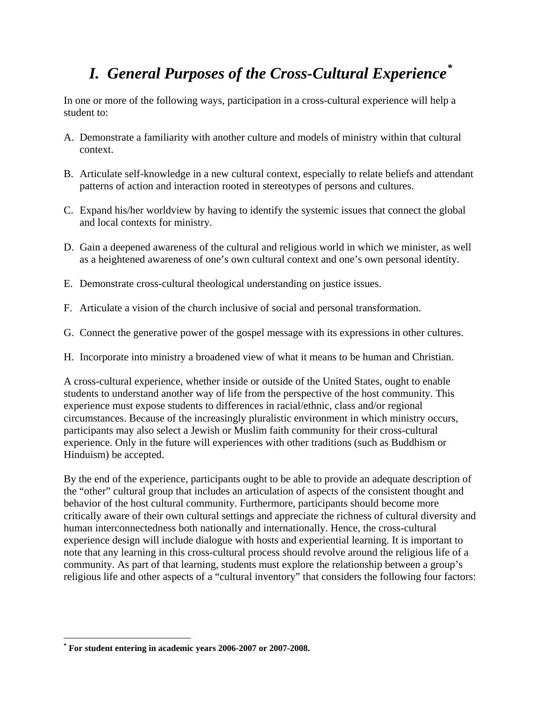# *I. General Purposes of the Cross-Cultural Experience[\\*](#page-0-0)*

In one or more of the following ways, participation in a cross-cultural experience will help a student to:

- A. Demonstrate a familiarity with another culture and models of ministry within that cultural context.
- B. Articulate self-knowledge in a new cultural context, especially to relate beliefs and attendant patterns of action and interaction rooted in stereotypes of persons and cultures.
- C. Expand his/her worldview by having to identify the systemic issues that connect the global and local contexts for ministry.
- D. Gain a deepened awareness of the cultural and religious world in which we minister, as well as a heightened awareness of one's own cultural context and one's own personal identity.
- E. Demonstrate cross-cultural theological understanding on justice issues.
- F. Articulate a vision of the church inclusive of social and personal transformation.
- G. Connect the generative power of the gospel message with its expressions in other cultures.
- H. Incorporate into ministry a broadened view of what it means to be human and Christian.

A cross-cultural experience, whether inside or outside of the United States, ought to enable students to understand another way of life from the perspective of the host community. This experience must expose students to differences in racial/ethnic, class and/or regional circumstances. Because of the increasingly pluralistic environment in which ministry occurs, participants may also select a Jewish or Muslim faith community for their cross-cultural experience. Only in the future will experiences with other traditions (such as Buddhism or Hinduism) be accepted.

By the end of the experience, participants ought to be able to provide an adequate description of the "other" cultural group that includes an articulation of aspects of the consistent thought and behavior of the host cultural community. Furthermore, participants should become more critically aware of their own cultural settings and appreciate the richness of cultural diversity and human interconnectedness both nationally and internationally. Hence, the cross-cultural experience design will include dialogue with hosts and experiential learning. It is important to note that any learning in this cross-cultural process should revolve around the religious life of a community. As part of that learning, students must explore the relationship between a group's religious life and other aspects of a "cultural inventory" that considers the following four factors:

 $\overline{a}$ 

<span id="page-0-0"></span>**<sup>\*</sup> For student entering in academic years 2006-2007 or 2007-2008.**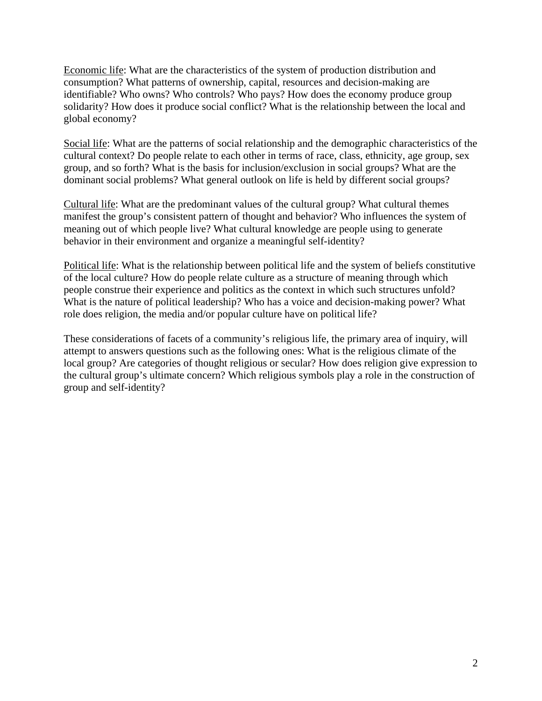Economic life: What are the characteristics of the system of production distribution and consumption? What patterns of ownership, capital, resources and decision-making are identifiable? Who owns? Who controls? Who pays? How does the economy produce group solidarity? How does it produce social conflict? What is the relationship between the local and global economy?

Social life: What are the patterns of social relationship and the demographic characteristics of the cultural context? Do people relate to each other in terms of race, class, ethnicity, age group, sex group, and so forth? What is the basis for inclusion/exclusion in social groups? What are the dominant social problems? What general outlook on life is held by different social groups?

Cultural life: What are the predominant values of the cultural group? What cultural themes manifest the group's consistent pattern of thought and behavior? Who influences the system of meaning out of which people live? What cultural knowledge are people using to generate behavior in their environment and organize a meaningful self-identity?

Political life: What is the relationship between political life and the system of beliefs constitutive of the local culture? How do people relate culture as a structure of meaning through which people construe their experience and politics as the context in which such structures unfold? What is the nature of political leadership? Who has a voice and decision-making power? What role does religion, the media and/or popular culture have on political life?

These considerations of facets of a community's religious life, the primary area of inquiry, will attempt to answers questions such as the following ones: What is the religious climate of the local group? Are categories of thought religious or secular? How does religion give expression to the cultural group's ultimate concern? Which religious symbols play a role in the construction of group and self-identity?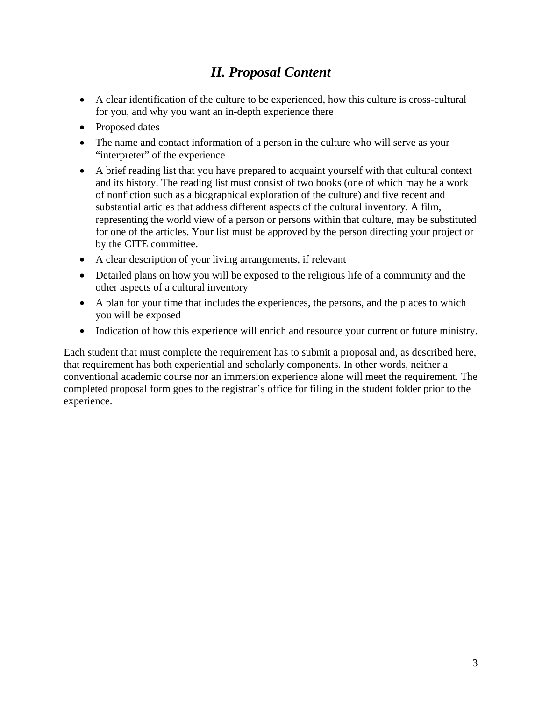#### *II. Proposal Content*

- A clear identification of the culture to be experienced, how this culture is cross-cultural for you, and why you want an in-depth experience there
- Proposed dates
- The name and contact information of a person in the culture who will serve as your "interpreter" of the experience
- A brief reading list that you have prepared to acquaint yourself with that cultural context and its history. The reading list must consist of two books (one of which may be a work of nonfiction such as a biographical exploration of the culture) and five recent and substantial articles that address different aspects of the cultural inventory. A film, representing the world view of a person or persons within that culture, may be substituted for one of the articles. Your list must be approved by the person directing your project or by the CITE committee.
- A clear description of your living arrangements, if relevant
- Detailed plans on how you will be exposed to the religious life of a community and the other aspects of a cultural inventory
- A plan for your time that includes the experiences, the persons, and the places to which you will be exposed
- Indication of how this experience will enrich and resource your current or future ministry.

Each student that must complete the requirement has to submit a proposal and, as described here, that requirement has both experiential and scholarly components. In other words, neither a conventional academic course nor an immersion experience alone will meet the requirement. The completed proposal form goes to the registrar's office for filing in the student folder prior to the experience.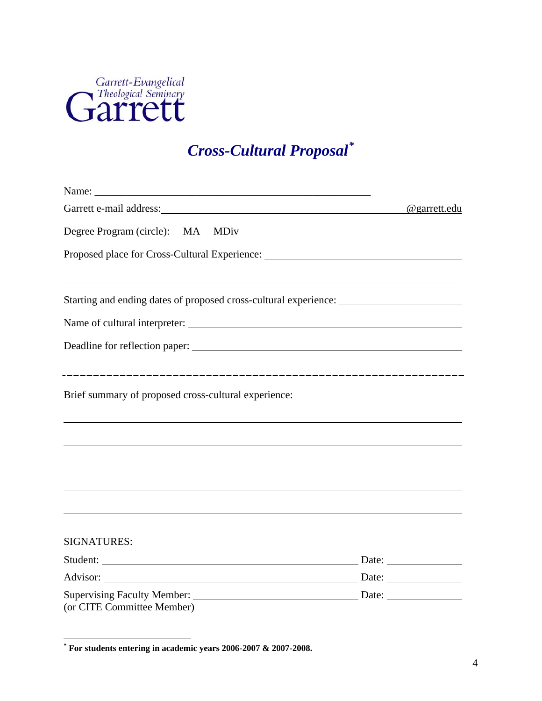

# *Cross-Cultural Proposal[\\*](#page-3-0)*

| Garrett e-mail address: Note of the state of the state of the state of the state of the state of the state of the state of the state of the state of the state of the state of the state of the state of the state of the stat | @garrett.edu |
|--------------------------------------------------------------------------------------------------------------------------------------------------------------------------------------------------------------------------------|--------------|
| Degree Program (circle): MA MDiv                                                                                                                                                                                               |              |
| Proposed place for Cross-Cultural Experience: ___________________________________                                                                                                                                              |              |
| Starting and ending dates of proposed cross-cultural experience: ________________                                                                                                                                              |              |
|                                                                                                                                                                                                                                |              |
|                                                                                                                                                                                                                                |              |
|                                                                                                                                                                                                                                |              |
| Brief summary of proposed cross-cultural experience:                                                                                                                                                                           |              |
|                                                                                                                                                                                                                                |              |
|                                                                                                                                                                                                                                |              |
|                                                                                                                                                                                                                                |              |
|                                                                                                                                                                                                                                |              |
|                                                                                                                                                                                                                                |              |
| <b>SIGNATURES:</b>                                                                                                                                                                                                             |              |
|                                                                                                                                                                                                                                |              |
|                                                                                                                                                                                                                                |              |
| (or CITE Committee Member)                                                                                                                                                                                                     |              |

<span id="page-3-0"></span> **\* For students entering in academic years 2006-2007 & 2007-2008.**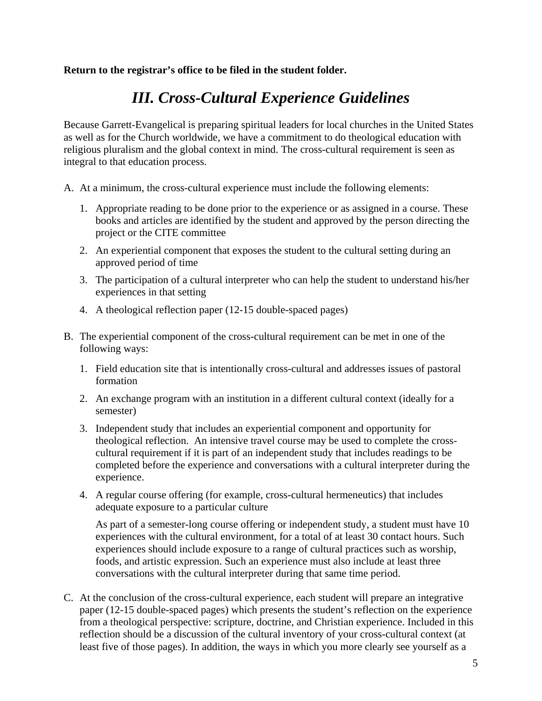**Return to the registrar's office to be filed in the student folder.** 

## *III. Cross-Cultural Experience Guidelines*

Because Garrett-Evangelical is preparing spiritual leaders for local churches in the United States as well as for the Church worldwide, we have a commitment to do theological education with religious pluralism and the global context in mind. The cross-cultural requirement is seen as integral to that education process.

- A. At a minimum, the cross-cultural experience must include the following elements:
	- 1. Appropriate reading to be done prior to the experience or as assigned in a course. These books and articles are identified by the student and approved by the person directing the project or the CITE committee
	- 2. An experiential component that exposes the student to the cultural setting during an approved period of time
	- 3. The participation of a cultural interpreter who can help the student to understand his/her experiences in that setting
	- 4. A theological reflection paper (12-15 double-spaced pages)
- B. The experiential component of the cross-cultural requirement can be met in one of the following ways:
	- 1. Field education site that is intentionally cross-cultural and addresses issues of pastoral formation
	- 2. An exchange program with an institution in a different cultural context (ideally for a semester)
	- 3. Independent study that includes an experiential component and opportunity for theological reflection. An intensive travel course may be used to complete the crosscultural requirement if it is part of an independent study that includes readings to be completed before the experience and conversations with a cultural interpreter during the experience.
	- 4. A regular course offering (for example, cross-cultural hermeneutics) that includes adequate exposure to a particular culture

 As part of a semester-long course offering or independent study, a student must have 10 experiences with the cultural environment, for a total of at least 30 contact hours. Such experiences should include exposure to a range of cultural practices such as worship, foods, and artistic expression. Such an experience must also include at least three conversations with the cultural interpreter during that same time period.

C. At the conclusion of the cross-cultural experience, each student will prepare an integrative paper (12-15 double-spaced pages) which presents the student's reflection on the experience from a theological perspective: scripture, doctrine, and Christian experience. Included in this reflection should be a discussion of the cultural inventory of your cross-cultural context (at least five of those pages). In addition, the ways in which you more clearly see yourself as a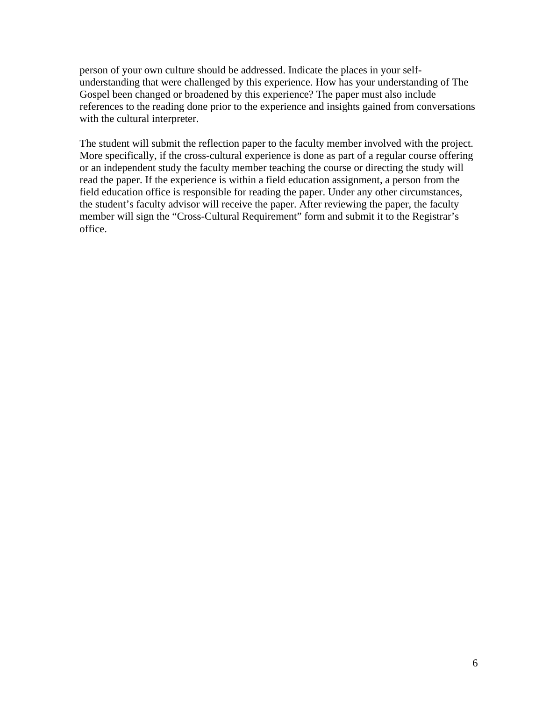person of your own culture should be addressed. Indicate the places in your selfunderstanding that were challenged by this experience. How has your understanding of The Gospel been changed or broadened by this experience? The paper must also include references to the reading done prior to the experience and insights gained from conversations with the cultural interpreter.

 The student will submit the reflection paper to the faculty member involved with the project. More specifically, if the cross-cultural experience is done as part of a regular course offering or an independent study the faculty member teaching the course or directing the study will read the paper. If the experience is within a field education assignment, a person from the field education office is responsible for reading the paper. Under any other circumstances, the student's faculty advisor will receive the paper. After reviewing the paper, the faculty member will sign the "Cross-Cultural Requirement" form and submit it to the Registrar's office.